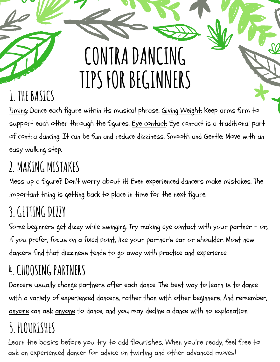# **CONTRADANCING TIPS FORBEGINNERS**

# **1. THEBASICS**

Timing: Dance each figure within its musical phrase. Giving Weight: Keep arms firm to support each other through the figures. Eye contact: Eye contact is a traditional part of contra dancing. It can be fun and reduce dizziness. Smooth and Gentle: Move with an easy walking step.

# **2. MAKING MISTAKES**

Mess up a figure? Don't worry about it! Even experienced dancers make mistakes. The important thing is getting back to place in time for the next figure.

# **3.GETTINGDIZZY**

Some beginners get dizzy while swinging. Try making eye contact with your partner - or, if you prefer, focus on a fixed point, like your partner's ear or shoulder. Most new dancers find that dizziness tends to go away with practice and experience.

# **4.CHOOSINGPARTNERS**

Dancers usually change partners after each dance. The best way to learn is to dance with a variety of experienced dancers, rather than with other beginners. And remember, anyone can ask anyone to dance, and you may decline a dance with no explanation.

# **5. FLOURISHES**

Learn the basics before you try to add flourishes. When you're ready, feel free to ask an experienced dancer for advice on twirling and other advanced moves!